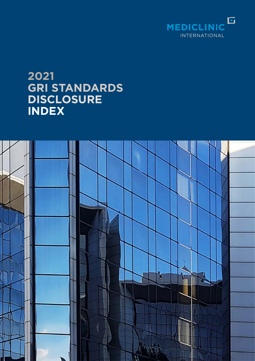

## **2021 GRI STANDARDS DISCLOSURE INDEX**

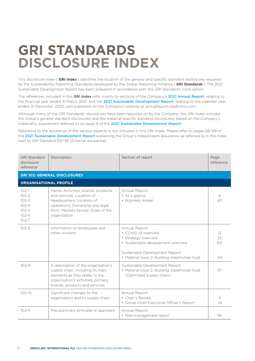## **GRI STANDARDS DISCLOSURE INDEX**

This disclosure index ('**GRI Index**') identifies the location of the general and specific standard disclosures required by the Sustainability Reporting Standards developed by the Global Reporting Initiative ('**GRI Standards**'). The 2021 Sustainable Development Report has been prepared in accordance with the GRI Standards: Core option.

The references included in this GRI Index [refer mainly to sections of the Company's](https://annualreport.mediclinic.com) 2021 Annual Report, relating to [the financial year ended 31 March 2021, and the](https://annualreport.mediclinic.com) 2021 Sustainable Development Report, relating to the calendar year [ended 31 December 2020, and published on the Company's website at annualreport.mediclinic.com.](https://annualreport.mediclinic.com) 

[Although many of the GRI Standards' disclosures have been reported on by the Company, this GRI Index includes](https://annualreport.mediclinic.com)  [the Group's general standard disclosures and the material-specific standard disclosures, based on the Company's](https://annualreport.mediclinic.com)  [materiality assessment referred to on page 9 of the](https://annualreport.mediclinic.com) 2021 Sustainable Development Report.

[Reference to the assurance of the various aspects is not included in this GRI Index. Please refer to pages 68–69 of](https://annualreport.mediclinic.com)  the 2021 Sustainable Development Report explaining the Group's independent assurance, as referred to in the index next to *[GRI Standard 102-56 \(External assurance\)](https://annualreport.mediclinic.com)*.

| <b>GRI Standard</b><br>disclosure<br>reference                                          | Description                                                                                                                                                                           | Section of report                                                                                                                                                                       | Page<br>reference    |
|-----------------------------------------------------------------------------------------|---------------------------------------------------------------------------------------------------------------------------------------------------------------------------------------|-----------------------------------------------------------------------------------------------------------------------------------------------------------------------------------------|----------------------|
|                                                                                         | <b>GRI 102: GENERAL DISCLOSURES</b>                                                                                                                                                   |                                                                                                                                                                                         |                      |
| <b>ORGANISATIONAL PROFILE</b>                                                           |                                                                                                                                                                                       |                                                                                                                                                                                         |                      |
| $102 - 1$<br>$102 - 2$<br>$102 - 3$<br>$102 - 4$<br>$102 - 5$<br>$102 - 6$<br>$102 - 7$ | Name; Activities, brands, products<br>and services: Location of<br>headquarters; Location of<br>operations; Ownership and legal<br>form: Markets served: Scale of the<br>organisation | Annual Report:<br>• At a glance<br>• Business model                                                                                                                                     | 8<br>40              |
| $102 - 8$                                                                               | Information on employees and<br>other workers                                                                                                                                         | Annual Report:<br>• COVID-19 overview<br>• Strategy overview<br>· Sustainable development overview<br>Sustainable Development Report:<br>• Material issue 2: Building stakeholder trust | 12<br>32<br>60<br>34 |
| $102 - 9$                                                                               | A description of the organisation's<br>supply chain, including its main<br>elements as they relate to the<br>organisation's activities, primary<br>brands, products and services      | Sustainable Development Report:<br>• Material issue 2: Building stakeholder trust<br>(Optimised supply chain)                                                                           | 57                   |
| $102 - 10$                                                                              | Significant changes to the<br>organisation and its supply chain                                                                                                                       | Annual Report:<br>• Chair's Review<br>• Group Chief Executive Officer's Report                                                                                                          | $\overline{4}$<br>24 |
| $102 - 11$                                                                              | Precautionary principle or approach                                                                                                                                                   | Annual Report:<br>• Risk management report                                                                                                                                              | 96                   |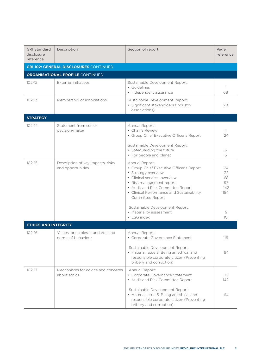| <b>GRI Standard</b><br>disclosure<br>reference | Description                                             | Section of report                                                                                                                                                                                                                                   | Page<br>reference                  |
|------------------------------------------------|---------------------------------------------------------|-----------------------------------------------------------------------------------------------------------------------------------------------------------------------------------------------------------------------------------------------------|------------------------------------|
|                                                | <b>GRI 102: GENERAL DISCLOSURES CONTINUED</b>           |                                                                                                                                                                                                                                                     |                                    |
|                                                | <b>ORGANISATIONAL PROFILE CONTINUED</b>                 |                                                                                                                                                                                                                                                     |                                    |
| $102 - 12$                                     | External initiatives                                    | Sustainable Development Report:<br>• Guidelines<br>• Independent assurance                                                                                                                                                                          | -1<br>68                           |
| $102 - 13$                                     | Membership of associations                              | Sustainable Development Report:<br>· Significant stakeholders (Industry<br>associations)                                                                                                                                                            | 20                                 |
| <b>STRATEGY</b>                                |                                                         |                                                                                                                                                                                                                                                     |                                    |
| $102 - 14$                                     | Statement from senior<br>decision-maker                 | Annual Report:<br>• Chair's Review<br>• Group Chief Executive Officer's Report                                                                                                                                                                      | 4<br>24                            |
|                                                |                                                         | Sustainable Development Report:<br>• Safeguarding the future<br>• For people and planet                                                                                                                                                             | 5<br>6                             |
| $102 - 15$                                     | Description of key impacts, risks<br>and opportunities  | Annual Report:<br>• Group Chief Executive Officer's Report<br>· Strategy overview<br>• Clinical services overview<br>• Risk management report<br>• Audit and Risk Committee Report<br>• Clinical Performance and Sustainability<br>Committee Report | 24<br>32<br>68<br>97<br>142<br>154 |
|                                                |                                                         | Sustainable Development Report:<br>• Materiality assessment<br>• ESG index                                                                                                                                                                          | 9<br>10                            |
| <b>ETHICS AND INTEGRITY</b>                    |                                                         |                                                                                                                                                                                                                                                     |                                    |
| $102 - 16$                                     | Values, principles, standards and<br>norms of behaviour | Annual Report:<br>• Corporate Governance Statement                                                                                                                                                                                                  | 116                                |
|                                                |                                                         | Sustainable Development Report:<br>• Material issue 3: Being an ethical and<br>responsible corporate citizen (Preventing<br>bribery and corruption)                                                                                                 | 64                                 |
| $102 - 17$                                     | Mechanisms for advice and concerns<br>about ethics      | Annual Report:<br>• Corporate Governance Statement<br>• Audit and Risk Committee Report                                                                                                                                                             | 116<br>142                         |
|                                                |                                                         | Sustainable Development Report:<br>• Material Issue 3: Being an ethical and<br>responsible corporate citizen (Preventing<br>bribery and corruption)                                                                                                 | 64                                 |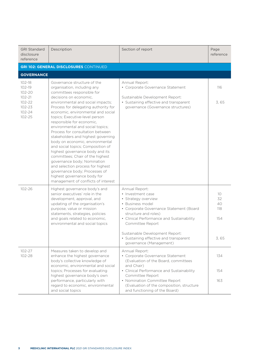| <b>GRI Standard</b><br>disclosure<br>reference | Description                                                                                                                                                                                                                                                                                                                                                                                                                                                                                                                                                                                                            | Section of report                                                                                                                                                                                                  | Page<br>reference            |
|------------------------------------------------|------------------------------------------------------------------------------------------------------------------------------------------------------------------------------------------------------------------------------------------------------------------------------------------------------------------------------------------------------------------------------------------------------------------------------------------------------------------------------------------------------------------------------------------------------------------------------------------------------------------------|--------------------------------------------------------------------------------------------------------------------------------------------------------------------------------------------------------------------|------------------------------|
|                                                | <b>GRI 102: GENERAL DISCLOSURES CONTINUED</b>                                                                                                                                                                                                                                                                                                                                                                                                                                                                                                                                                                          |                                                                                                                                                                                                                    |                              |
| <b>GOVERNANCE</b>                              |                                                                                                                                                                                                                                                                                                                                                                                                                                                                                                                                                                                                                        |                                                                                                                                                                                                                    |                              |
| $102 - 18$<br>102-19<br>102-20<br>$102 - 21$   | Governance structure of the<br>organisation, including any<br>committees responsible for<br>decisions on economic.                                                                                                                                                                                                                                                                                                                                                                                                                                                                                                     | Annual Report:<br>• Corporate Governance Statement                                                                                                                                                                 | 116                          |
| 102-22<br>$102 - 23$<br>102-24<br>$102 - 25$   | environmental and social impacts;<br>Process for delegating authority for<br>economic, environmental and social<br>topics; Executive-level person<br>responsible for economic,<br>environmental and social topics;<br>Process for consultation between<br>stakeholders and highest governing<br>body on economic, environmental<br>and social topics; Composition of<br>highest governance body and its<br>committees; Chair of the highest<br>governance body; Nomination<br>and selection process for highest<br>governance body; Processes of<br>highest governance body for<br>management of conflicts of interest | Sustainable Development Report:<br>• Sustaining effective and transparent<br>governance (Governance structures)                                                                                                    | 3,65                         |
| $102 - 26$                                     | Highest governance body's and<br>senior executives' role in the<br>development, approval, and<br>updating of the organisation's<br>purpose, value or mission<br>statements, strategies, policies<br>and goals related to economic,<br>environmental and social topics                                                                                                                                                                                                                                                                                                                                                  | Annual Report:<br>• Investment case<br>• Strategy overview<br>• Business model<br>• Corporate Governance Statement (Board<br>structure and roles)<br>• Clinical Performance and Sustainability<br>Committee Report | 10<br>32<br>40<br>118<br>154 |
|                                                |                                                                                                                                                                                                                                                                                                                                                                                                                                                                                                                                                                                                                        | Sustainable Development Report:<br>• Sustaining effective and transparent<br>governance (Management)                                                                                                               | 3,65                         |
| $102 - 27$<br>102-28                           | Measures taken to develop and<br>enhance the highest governance<br>body's collective knowledge of<br>economic, environmental and social                                                                                                                                                                                                                                                                                                                                                                                                                                                                                | Annual Report:<br>• Corporate Governance Statement<br>(Evaluation of the Board, committees<br>and Chair)                                                                                                           | 134                          |
|                                                | topics; Processes for evaluating<br>highest governance body's own<br>performance, particularly with                                                                                                                                                                                                                                                                                                                                                                                                                                                                                                                    | • Clinical Performance and Sustainability<br>Committee Report<br>• Nomination Committee Report                                                                                                                     | 154<br>163                   |
|                                                | regard to economic, environmental<br>and social topics                                                                                                                                                                                                                                                                                                                                                                                                                                                                                                                                                                 | (Evaluation of the composition, structure<br>and functioning of the Board)                                                                                                                                         |                              |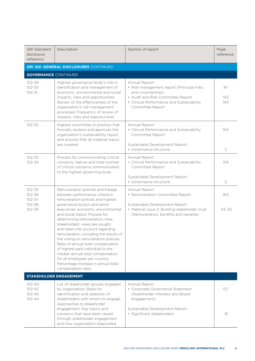| <b>GRI Standard</b><br>disclosure<br>reference       | Description                                                                                                                                                                                                                                                                                                                                                                                                                                                                                                                                                                                                               | Section of report                                                                                                                                                                       | Page<br>reference |
|------------------------------------------------------|---------------------------------------------------------------------------------------------------------------------------------------------------------------------------------------------------------------------------------------------------------------------------------------------------------------------------------------------------------------------------------------------------------------------------------------------------------------------------------------------------------------------------------------------------------------------------------------------------------------------------|-----------------------------------------------------------------------------------------------------------------------------------------------------------------------------------------|-------------------|
|                                                      | <b>GRI 102: GENERAL DISCLOSURES CONTINUED</b>                                                                                                                                                                                                                                                                                                                                                                                                                                                                                                                                                                             |                                                                                                                                                                                         |                   |
| <b>GOVERNANCE CONTINUED</b>                          |                                                                                                                                                                                                                                                                                                                                                                                                                                                                                                                                                                                                                           |                                                                                                                                                                                         |                   |
| 102-29<br>102-30<br>$102 - 31$                       | Highest governance body's role in<br>identification and management of<br>economic, environmental and social<br>impacts, risks and opportunities;<br>Review of the effectiveness of the<br>organisation's risk management<br>processes; Frequency of review of<br>impacts, risks and opportunities                                                                                                                                                                                                                                                                                                                         | Annual Report:<br>• Risk management report (Principal risks<br>and uncertainties)<br>• Audit and Risk Committee Report<br>• Clinical Performance and Sustainability<br>Committee Report | 97<br>142<br>154  |
| $102 - 32$                                           | Highest committee or position that<br>formally reviews and approves the<br>organisation's sustainability report<br>and ensures that all material topics<br>are covered                                                                                                                                                                                                                                                                                                                                                                                                                                                    | Annual Report:<br>• Clinical Performance and Sustainability<br>Committee Report<br>Sustainable Development Report:<br>· Governance structure                                            | 154<br>3          |
| $102 - 33$<br>102-34                                 | Process for communicating critical<br>concerns; Nature and total number<br>of critical concerns communicated<br>to the highest governing body                                                                                                                                                                                                                                                                                                                                                                                                                                                                             | Annual Report:<br>• Clinical Performance and Sustainability<br>Committee Report<br>Sustainable Development Report:<br>• Governance structure                                            | 154<br>3          |
| 102-35<br>102-36<br>$102 - 37$<br>102-38<br>102-39   | Remuneration policies and linkage<br>between performance criteria in<br>remuneration policies and highest<br>governance body's and senior<br>executives' economic, environmental<br>and social topics; Process for<br>determining remuneration; How<br>stakeholders' views are sought<br>and taken into account regarding<br>remuneration, including the results of<br>the voting on remuneration policies;<br>Ratio of annual total compensation<br>of highest paid individual to the<br>median annual total compensation<br>for all employees per country;<br>Percentage increase in annual total<br>compensation ratio | Annual Report:<br>• Remuneration Committee Report<br>Sustainable Development Report<br>• Material issue 2: Building stakeholder trust<br>(Remuneration, benefits and rewards)           | 164<br>43, 52     |
| $102 - 40$<br>$102 - 42$<br>$102 - 43$<br>$102 - 44$ | <b>STAKEHOLDER ENGAGEMENT</b><br>List of stakeholder groups engaged<br>by organisation; Basis for<br>identification and selection of<br>stakeholders with whom to engage;<br>Approaches to stakeholder                                                                                                                                                                                                                                                                                                                                                                                                                    | Annual Report<br>• Corporate Governance Statement<br>(Stakeholder interests and Board<br>engagement)                                                                                    | 127               |
|                                                      | engagement; Key topics and<br>concerns that have been raised<br>through stakeholder engagement<br>and how organisation responded                                                                                                                                                                                                                                                                                                                                                                                                                                                                                          | Sustainable Development Report:<br>· Significant stakeholders                                                                                                                           | 16                |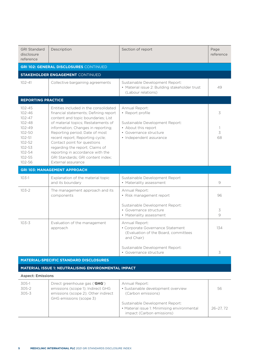| <b>GRI Standard</b><br>disclosure<br>reference                                                                                                           | Description                                                                                                                                                                                                                                                                                                                                                                                                                             | Section of report                                                                                                                                                     | Page<br>reference   |
|----------------------------------------------------------------------------------------------------------------------------------------------------------|-----------------------------------------------------------------------------------------------------------------------------------------------------------------------------------------------------------------------------------------------------------------------------------------------------------------------------------------------------------------------------------------------------------------------------------------|-----------------------------------------------------------------------------------------------------------------------------------------------------------------------|---------------------|
|                                                                                                                                                          | <b>GRI 102: GENERAL DISCLOSURES CONTINUED</b>                                                                                                                                                                                                                                                                                                                                                                                           |                                                                                                                                                                       |                     |
|                                                                                                                                                          | <b>STAKEHOLDER ENGAGEMENT CONTINUED</b>                                                                                                                                                                                                                                                                                                                                                                                                 |                                                                                                                                                                       |                     |
| $102 - 41$                                                                                                                                               | Collective bargaining agreements                                                                                                                                                                                                                                                                                                                                                                                                        | Sustainable Development Report:<br>• Material issue 2: Building stakeholder trust<br>(Labour relations)                                                               | 49                  |
| <b>REPORTING PRACTICE</b>                                                                                                                                |                                                                                                                                                                                                                                                                                                                                                                                                                                         |                                                                                                                                                                       |                     |
| $102 - 45$<br>$102 - 46$<br>$102 - 47$<br>$102 - 48$<br>$102 - 49$<br>$102 - 50$<br>$102 - 51$<br>$102 - 52$<br>$102 - 53$<br>102-54<br>102-55<br>102-56 | Entities included in the consolidated<br>financial statements; Defining report<br>content and topic boundaries; List<br>of material topics; Restatements of<br>information; Changes in reporting;<br>Reporting period; Date of most<br>recent report; Reporting cycle;<br>Contact point for questions<br>regarding the report; Claims of<br>reporting in accordance with the<br>GRI Standards; GRI content index;<br>External assurance | Annual Report:<br>• Report profile<br>Sustainable Development Report:<br>• About this report<br>• Governance structure<br>• Independent assurance                     | 3<br>-1<br>3<br>68  |
|                                                                                                                                                          | <b>GRI 103: MANAGEMENT APPROACH</b>                                                                                                                                                                                                                                                                                                                                                                                                     |                                                                                                                                                                       |                     |
| $103-1$                                                                                                                                                  | Explanation of the material topic<br>and its boundary                                                                                                                                                                                                                                                                                                                                                                                   | Sustainable Development Report<br>• Materiality assessment                                                                                                            | 9                   |
| $103 - 2$                                                                                                                                                | The management approach and its<br>components                                                                                                                                                                                                                                                                                                                                                                                           | Annual Report:<br>• Risk management report<br>Sustainable Development Report:<br>• Governance structure<br>• Materiality assessment                                   | 96<br>3<br>$\Theta$ |
| $103 - 3$                                                                                                                                                | Evaluation of the management<br>approach                                                                                                                                                                                                                                                                                                                                                                                                | Annual Report:<br>• Corporate Governance Statement<br>(Evaluation of the Board, committees<br>and Chair)<br>Sustainable Development Report:<br>• Governance structure | 134<br>3            |
|                                                                                                                                                          | <b>MATERIAL-SPECIFIC STANDARD DISCLOSURES</b>                                                                                                                                                                                                                                                                                                                                                                                           |                                                                                                                                                                       |                     |
|                                                                                                                                                          | <b>MATERIAL ISSUE 1: NEUTRALISING ENVIRONMENTAL IMPACT</b>                                                                                                                                                                                                                                                                                                                                                                              |                                                                                                                                                                       |                     |
| <b>Aspect: Emissions</b>                                                                                                                                 |                                                                                                                                                                                                                                                                                                                                                                                                                                         |                                                                                                                                                                       |                     |
| $305-1$<br>305-2<br>$305 - 3$                                                                                                                            | Direct greenhouse gas ('GHG')<br>emissions (scope 1); Indirect GHG<br>emissions (scope 2); Other indirect<br>GHG emissions (scope 3)                                                                                                                                                                                                                                                                                                    | Annual Report:<br>· Sustainable development overview<br>(Carbon emissions)                                                                                            | 56                  |
|                                                                                                                                                          |                                                                                                                                                                                                                                                                                                                                                                                                                                         | Sustainable Development Report:<br>• Material issue 1: Minimising environmental<br>impact (Carbon emissions)                                                          | $26 - 27, 72$       |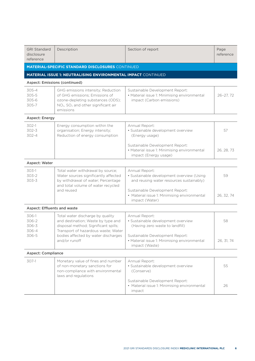| <b>GRI Standard</b><br>disclosure<br>reference | Description                                                                                                                                                                           | Section of report                                                                                            | Page<br>reference |
|------------------------------------------------|---------------------------------------------------------------------------------------------------------------------------------------------------------------------------------------|--------------------------------------------------------------------------------------------------------------|-------------------|
|                                                | <b>MATERIAL-SPECIFIC STANDARD DISCLOSURES CONTINUED</b>                                                                                                                               |                                                                                                              |                   |
|                                                | <b>MATERIAL ISSUE 1: NEUTRALISING ENVIRONMENTAL IMPACT CONTINUED</b>                                                                                                                  |                                                                                                              |                   |
|                                                | Aspect: Emissions (continued)                                                                                                                                                         |                                                                                                              |                   |
| $305 - 4$<br>$305 - 5$<br>305-6<br>305-7       | GHG emissions intensity; Reduction<br>of GHG emissions: Emissions of<br>ozone-depleting substances (ODS);<br>NO <sub>x</sub> , SO <sub>x</sub> and other significant air<br>emissions | Sustainable Development Report:<br>• Material issue 1: Minimising environmental<br>impact (Carbon emissions) | $26 - 27, 72$     |
| Aspect: Energy                                 |                                                                                                                                                                                       |                                                                                                              |                   |
| 302-1<br>$302 - 3$<br>$302 - 4$                | Energy consumption within the<br>organisation; Energy intensity;<br>Reduction of energy consumption                                                                                   | Annual Report:<br>· Sustainable development overview<br>(Energy usage)                                       | 57                |
|                                                |                                                                                                                                                                                       | Sustainable Development Report:<br>• Material issue 1: Minimising environmental<br>impact (Energy usage)     | 26, 28, 73        |
| Aspect: Water                                  |                                                                                                                                                                                       |                                                                                                              |                   |
| $303-1$<br>$303 - 2$<br>303-3                  | Total water withdrawal by source;<br>Water sources significantly affected<br>by withdrawal of water; Percentage<br>and total volume of water recycled                                 | Annual Report:<br>· Sustainable development overview (Using<br>and reusing water resources sustainably)      | 59                |
|                                                | and reused                                                                                                                                                                            | Sustainable Development Report:<br>• Material issue 1: Minimising environmental<br>impact (Water)            | 26, 32, 74        |
| <b>Aspect: Effluents and waste</b>             |                                                                                                                                                                                       |                                                                                                              |                   |
| 306-1<br>306-2<br>306-3<br>306-4               | Total water discharge by quality<br>and destination; Waste by type and<br>disposal method; Significant spills;<br>Transport of hazardous waste; Water                                 | Annual Report:<br>· Sustainable development overview<br>(Having zero waste to landfill)                      | 58                |
| 306-5                                          | bodies affected by water discharges<br>and/or runoff                                                                                                                                  | Sustainable Development Report:<br>• Material issue 1: Minimising environmental<br>impact (Waste)            | 26, 31, 74        |
| <b>Aspect: Compliance</b>                      |                                                                                                                                                                                       |                                                                                                              |                   |
| 307-1                                          | Monetary value of fines and number<br>of non-monetary sanctions for<br>non-compliance with environmental<br>laws and regulations                                                      | Annual Report:<br>· Sustainable development overview<br>(Conserve)                                           | 55                |
|                                                |                                                                                                                                                                                       | Sustainable Development Report:<br>• Material issue 1: Minimising environmental<br>impact                    | 26                |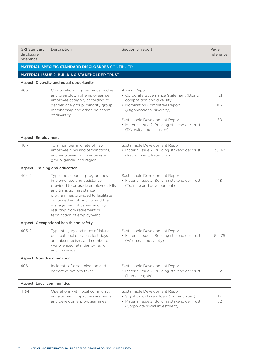| <b>GRI Standard</b><br>disclosure<br>reference | Description                                                                                                                                                                                                                                                                                          | Section of report                                                                                                                                                                                                                         | Page<br>reference |
|------------------------------------------------|------------------------------------------------------------------------------------------------------------------------------------------------------------------------------------------------------------------------------------------------------------------------------------------------------|-------------------------------------------------------------------------------------------------------------------------------------------------------------------------------------------------------------------------------------------|-------------------|
|                                                | <b>MATERIAL-SPECIFIC STANDARD DISCLOSURES CONTINUED</b>                                                                                                                                                                                                                                              |                                                                                                                                                                                                                                           |                   |
|                                                | MATERIAL ISSUE 2: BUILDING STAKEHOLDER TRUST                                                                                                                                                                                                                                                         |                                                                                                                                                                                                                                           |                   |
|                                                | Aspect: Diversity and equal opportunity                                                                                                                                                                                                                                                              |                                                                                                                                                                                                                                           |                   |
| $405-1$                                        | Composition of governance bodies<br>and breakdown of employees per<br>employee category according to<br>gender, age group, minority group<br>membership and other indicators<br>of diversity                                                                                                         | Annual Report<br>• Corporate Governance Statement (Board<br>composition and diversity<br>• Nomination Committee Report<br>(Organisational diversity)<br>Sustainable Development Report:<br>• Material issue 2: Building stakeholder trust | 121<br>162<br>50  |
|                                                |                                                                                                                                                                                                                                                                                                      | (Diversity and inclusion)                                                                                                                                                                                                                 |                   |
| <b>Aspect: Employment</b>                      |                                                                                                                                                                                                                                                                                                      |                                                                                                                                                                                                                                           |                   |
| $401-1$                                        | Total number and rate of new<br>employee hires and terminations,<br>and employee turnover by age<br>group, gender and region                                                                                                                                                                         | Sustainable Development Report:<br>• Material issue 2: Building stakeholder trust<br>(Recruitment; Retention)                                                                                                                             | 39, 42            |
|                                                | Aspect: Training and education                                                                                                                                                                                                                                                                       |                                                                                                                                                                                                                                           |                   |
| $404 - 2$                                      | Type and scope of programmes<br>implemented and assistance<br>provided to upgrade employee skills,<br>and transition assistance<br>programmes provided to facilitate<br>continued employability and the<br>management of career endings<br>resulting from retirement or<br>termination of employment | Sustainable Development Report:<br>• Material issue 2: Building stakeholder trust<br>(Training and development)                                                                                                                           | 48                |
|                                                | Aspect: Occupational health and safety                                                                                                                                                                                                                                                               |                                                                                                                                                                                                                                           |                   |
| $403 - 2$                                      | Type of injury and rates of injury,<br>occupational diseases, lost days<br>and absenteeism, and number of<br>work-related fatalities by region<br>and by gender                                                                                                                                      | Sustainable Development Report:<br>• Material issue 2: Building stakeholder trust<br>(Wellness and safety)                                                                                                                                | 54,79             |
| <b>Aspect: Non-discrimination</b>              |                                                                                                                                                                                                                                                                                                      |                                                                                                                                                                                                                                           |                   |
| 406-1                                          | Incidents of discrimination and<br>corrective actions taken                                                                                                                                                                                                                                          | Sustainable Development Report:<br>• Material issue 2: Building stakeholder trust<br>(Human rights)                                                                                                                                       | 62                |
| <b>Aspect: Local communities</b>               |                                                                                                                                                                                                                                                                                                      |                                                                                                                                                                                                                                           |                   |
| $413 - 1$                                      | Operations with local community<br>engagement, impact assessments,<br>and development programmes                                                                                                                                                                                                     | Sustainable Development Report:<br>· Significant stakeholders (Communities)<br>• Material issue 2: Building stakeholder trust<br>(Corporate social investment)                                                                            | 17<br>62          |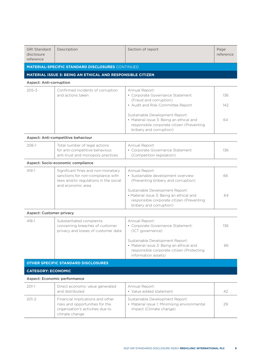| <b>GRI Standard</b><br>disclosure<br>reference | Description                                                                                                                           | Section of report                                                                                                                                   | Page<br>reference |
|------------------------------------------------|---------------------------------------------------------------------------------------------------------------------------------------|-----------------------------------------------------------------------------------------------------------------------------------------------------|-------------------|
|                                                | <b>MATERIAL-SPECIFIC STANDARD DISCLOSURES CONTINUED</b>                                                                               |                                                                                                                                                     |                   |
|                                                | MATERIAL ISSUE 3: BEING AN ETHICAL AND RESPONSIBLE CITIZEN                                                                            |                                                                                                                                                     |                   |
| <b>Aspect: Anti-corruption</b>                 |                                                                                                                                       |                                                                                                                                                     |                   |
| $205 - 3$                                      | Confirmed incidents of corruption<br>and actions taken                                                                                | Annual Report:<br>• Corporate Governance Statement<br>(Fraud and corruption)<br>• Audit and Risk Committee Report                                   | 136<br>142        |
|                                                |                                                                                                                                       | Sustainable Development Report:<br>• Material issue 3: Being an ethical and<br>responsible corporate citizen (Preventing<br>bribery and corruption) | 64                |
|                                                | Aspect: Anti-competitive behaviour                                                                                                    |                                                                                                                                                     |                   |
| 206-1                                          | Total number of legal actions<br>for anti-competitive behaviour,<br>anti-trust and monopoly practices                                 | Annual Report:<br>• Corporate Governance Statement<br>(Competition legislation)                                                                     | 136               |
|                                                | Aspect: Socio-economic compliance                                                                                                     |                                                                                                                                                     |                   |
| $419 - 1$                                      | Significant fines and non-monetary<br>sanctions for non-compliance with<br>laws and/or regulations in the social<br>and economic area | Annual Report:<br>· Sustainable development overview<br>(Preventing bribery and corruption)                                                         | 66                |
|                                                |                                                                                                                                       | Sustainable Development Report:<br>· Material issue 3: Being an ethical and<br>responsible corporate citizen (Preventing<br>bribery and corruption) | 64                |
| <b>Aspect: Customer privacy</b>                |                                                                                                                                       |                                                                                                                                                     |                   |
| $418 - 1$                                      | Substantiated complaints<br>concerning breaches of customer<br>privacy and losses of customer data                                    | Annual Report:<br>• Corporate Governance Statement:<br>(ICT governance)                                                                             | 136               |
|                                                |                                                                                                                                       | Sustainable Development Report:<br>• Material issue 3: Being an ethical and<br>responsible corporate citizen (Protecting<br>information assets)     | 66                |
|                                                | <b>OTHER SPECIFIC STANDARD DISCLOSURES</b>                                                                                            |                                                                                                                                                     |                   |
| <b>CATEGORY: ECONOMIC</b>                      |                                                                                                                                       |                                                                                                                                                     |                   |
|                                                | Aspect: Economic performance                                                                                                          |                                                                                                                                                     |                   |
| $201-1$                                        | Direct economic value generated<br>and distributed                                                                                    | Annual Report:<br>• Value added statement                                                                                                           | 42                |
| $201 - 2$                                      | Financial implications and other<br>risks and opportunities for the<br>organisation's activities due to                               | Sustainable Development Report:<br>• Material issue 1: Minimising environmental<br>impact (Climate change)                                          | 29                |

climate change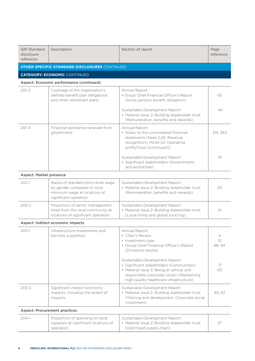| <b>GRI Standard</b><br>disclosure<br>reference | Description                                                                                                                 | Section of report                                                                                                                                                                                                | Page<br>reference              |
|------------------------------------------------|-----------------------------------------------------------------------------------------------------------------------------|------------------------------------------------------------------------------------------------------------------------------------------------------------------------------------------------------------------|--------------------------------|
|                                                | <b>OTHER SPECIFIC STANDARD DISCLOSURES CONTINUED</b>                                                                        |                                                                                                                                                                                                                  |                                |
|                                                | <b>CATEGORY: ECONOMIC CONTINUED</b>                                                                                         |                                                                                                                                                                                                                  |                                |
|                                                | Aspect: Economic performance (continued)                                                                                    |                                                                                                                                                                                                                  |                                |
| $201 - 3$                                      | Coverage of the organisation's<br>defined benefit plan obligations<br>and other retirement plans                            | Annual Report:<br>• Group Chief Financial Officer's Report<br>(Swiss pension benefit obligation)                                                                                                                 | 93                             |
|                                                |                                                                                                                             | Sustainable Development Report:<br>• Material issue 2: Building stakeholder trust<br>(Remuneration, benefits and rewards)                                                                                        | 44                             |
| $201 - 4$                                      | Financial assistance received from<br>government                                                                            | Annual Report:<br>• Notes to the consolidated financial<br>statements (Note 2.20: Revenue<br>recognition); (Note 24: Operating<br>profit/[loss] [continued])                                                     | 214, 263                       |
|                                                |                                                                                                                             | Sustainable Development Report:<br>· Significant stakeholders (Governments<br>and authorities)                                                                                                                   | 19                             |
| <b>Aspect: Market presence</b>                 |                                                                                                                             |                                                                                                                                                                                                                  |                                |
| $202 - 1$                                      | Ratios of standard entry-level wage<br>by gender compared to local<br>minimum wage at locations of<br>significant operation | Sustainable Development Report:<br>• Material issue 2: Building stakeholder trust<br>(Remuneration, benefits and rewards)                                                                                        | 43                             |
| $202 - 2$                                      | Proportion of senior management<br>hired from the local community at<br>locations of significant operation                  | Sustainable Development Report:<br>• Material issue 2: Building stakeholder trust<br>(Local hiring and global sourcing)                                                                                          | 41                             |
|                                                | Aspect: Indirect economic impacts                                                                                           |                                                                                                                                                                                                                  |                                |
| $203-1$                                        | Infrastructure investments and<br>services supported                                                                        | Annual Report<br>• Chair's Review<br>• Investment case<br>• Group Chief Financial Officer's Report<br>(Divisional results)                                                                                       | $\overline{4}$<br>10<br>88, 94 |
|                                                |                                                                                                                             | Sustainable Development Report:<br>· Significant stakeholders (Communities)<br>• Material issue 3: Being an ethical and<br>responsible corporate citizen (Maintaining<br>high-quality healthcare infrastructure) | 17<br>65                       |
| $203 - 2$                                      | Significant indirect economic<br>impacts, including the extent of<br>impacts                                                | Sustainable Development Report:<br>• Material issue 2: Building stakeholder trust<br>(Training and development; Corporate social<br>investment)                                                                  | 48,62                          |
|                                                | <b>Aspect: Procurement practices</b>                                                                                        |                                                                                                                                                                                                                  |                                |
| $204-1$                                        | Proportion of spending on local<br>suppliers at significant locations of<br>operation                                       | Sustainable Development Report:<br>• Material issue 2: Building stakeholder trust<br>(Optimised supply chain)                                                                                                    | 57                             |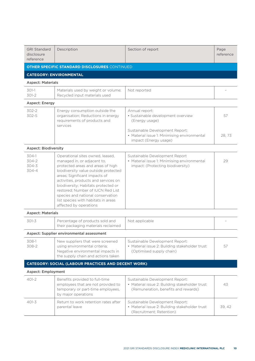| <b>GRI Standard</b><br>disclosure<br>reference | Description                                                                                                                                                                                                                                                                                                                                                                                             | Section of report                                                                                                                                                                  | Page<br>reference |
|------------------------------------------------|---------------------------------------------------------------------------------------------------------------------------------------------------------------------------------------------------------------------------------------------------------------------------------------------------------------------------------------------------------------------------------------------------------|------------------------------------------------------------------------------------------------------------------------------------------------------------------------------------|-------------------|
|                                                | <b>OTHER SPECIFIC STANDARD DISCLOSURES CONTINUED</b>                                                                                                                                                                                                                                                                                                                                                    |                                                                                                                                                                                    |                   |
|                                                | <b>CATEGORY: ENVIRONMENTAL</b>                                                                                                                                                                                                                                                                                                                                                                          |                                                                                                                                                                                    |                   |
| <b>Aspect: Materials</b>                       |                                                                                                                                                                                                                                                                                                                                                                                                         |                                                                                                                                                                                    |                   |
| $301-1$<br>$301 - 2$                           | Materials used by weight or volume;<br>Recycled input materials used                                                                                                                                                                                                                                                                                                                                    | Not reported                                                                                                                                                                       |                   |
| Aspect: Energy                                 |                                                                                                                                                                                                                                                                                                                                                                                                         |                                                                                                                                                                                    |                   |
| $302 - 2$<br>$302 - 5$                         | Energy consumption outside the<br>organisation; Reductions in energy<br>requirements of products and<br>services                                                                                                                                                                                                                                                                                        | Annual report:<br>· Sustainable development overview<br>(Energy usage)<br>Sustainable Development Report:<br>• Material issue 1: Minimising environmental<br>impact (Energy usage) | 57<br>28.73       |
| <b>Aspect: Biodiversity</b>                    |                                                                                                                                                                                                                                                                                                                                                                                                         |                                                                                                                                                                                    |                   |
| $304-1$<br>$304 - 2$<br>$304 - 3$<br>304-4     | Operational sites owned, leased,<br>managed in, or adjacent to,<br>protected areas and areas of high<br>biodiversity value outside protected<br>areas; Significant impacts of<br>activities, products and services on<br>biodiversity; Habitats protected or<br>restored; Number of IUCN Red List<br>species and national conservation<br>list species with habitats in areas<br>affected by operations | Sustainable Development Report<br>• Material issue 1: Minimising environmental<br>impact: (Protecting biodiversity)                                                                | 29                |
| <b>Aspect: Materials</b>                       |                                                                                                                                                                                                                                                                                                                                                                                                         |                                                                                                                                                                                    |                   |
| $301 - 3$                                      | Percentage of products sold and<br>their packaging materials reclaimed                                                                                                                                                                                                                                                                                                                                  | Not applicable                                                                                                                                                                     |                   |
|                                                | Aspect: Supplier environmental assessment                                                                                                                                                                                                                                                                                                                                                               |                                                                                                                                                                                    |                   |
| 308-1<br>308-2                                 | New suppliers that were screened<br>using environmental criteria;<br>Negative environmental impacts in<br>the supply chain and actions taken                                                                                                                                                                                                                                                            | Sustainable Development Report:<br>• Material issue 2: Building stakeholder trust<br>(Optimised supply chain)                                                                      | 57                |
|                                                | <b>CATEGORY: SOCIAL (LABOUR PRACTICES AND DECENT WORK)</b>                                                                                                                                                                                                                                                                                                                                              |                                                                                                                                                                                    |                   |
| <b>Aspect: Employment</b>                      |                                                                                                                                                                                                                                                                                                                                                                                                         |                                                                                                                                                                                    |                   |
| $401-2$                                        | Benefits provided to full-time<br>employees that are not provided to<br>temporary or part-time employees,<br>by major operations                                                                                                                                                                                                                                                                        | Sustainable Development Report:<br>• Material issue 2: Building stakeholder trust<br>(Remuneration, benefits and rewards)                                                          | 43                |
| $401 - 3$                                      | Return to work retention rates after<br>parental leave                                                                                                                                                                                                                                                                                                                                                  | Sustainable Development Report:<br>• Material issue 2: Building stakeholder trust<br>(Recruitment; Retention)                                                                      | 39, 42            |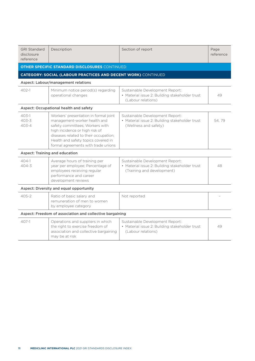| <b>GRI Standard</b><br>disclosure<br>reference           | Description                                                                                                                                                                                                                                                       | Section of report                                                                                               | Page<br>reference |
|----------------------------------------------------------|-------------------------------------------------------------------------------------------------------------------------------------------------------------------------------------------------------------------------------------------------------------------|-----------------------------------------------------------------------------------------------------------------|-------------------|
|                                                          | <b>OTHER SPECIFIC STANDARD DISCLOSURES CONTINUED</b>                                                                                                                                                                                                              |                                                                                                                 |                   |
|                                                          | <b>CATEGORY: SOCIAL (LABOUR PRACTICES AND DECENT WORK)</b> CONTINUED                                                                                                                                                                                              |                                                                                                                 |                   |
|                                                          | Aspect: Labour/management relations                                                                                                                                                                                                                               |                                                                                                                 |                   |
| $402 - 1$                                                | Minimum notice period(s) regarding<br>operational changes                                                                                                                                                                                                         | Sustainable Development Report:<br>• Material issue 2: Building stakeholder trust<br>(Labour relations)         | 49                |
|                                                          | Aspect: Occupational health and safety                                                                                                                                                                                                                            |                                                                                                                 |                   |
| 403-1<br>$403 - 3$<br>$403 - 4$                          | Workers' presentation in formal joint<br>management-worker health and<br>safety committees; Workers with<br>high incidence or high risk of<br>diseases related to their occupation;<br>Health and safety topics covered in<br>formal agreements with trade unions | Sustainable Development Report:<br>• Material issue 2: Building stakeholder trust<br>(Wellness and safety)      | 54.79             |
|                                                          | Aspect: Training and education                                                                                                                                                                                                                                    |                                                                                                                 |                   |
| $404-1$<br>$404 - 3$                                     | Average hours of training per<br>year per employee; Percentage of<br>employees receiving regular<br>performance and career<br>development reviews                                                                                                                 | Sustainable Development Report:<br>• Material issue 2: Building stakeholder trust<br>(Training and development) | 48                |
|                                                          | Aspect: Diversity and equal opportunity                                                                                                                                                                                                                           |                                                                                                                 |                   |
| $405 - 2$                                                | Ratio of basic salary and<br>remuneration of men to women<br>by employee category                                                                                                                                                                                 | Not reported                                                                                                    |                   |
| Aspect: Freedom of association and collective bargaining |                                                                                                                                                                                                                                                                   |                                                                                                                 |                   |
| $407-1$                                                  | Operations and suppliers in which<br>the right to exercise freedom of<br>association and collective bargaining<br>may be at risk                                                                                                                                  | Sustainable Development Report:<br>• Material issue 2: Building stakeholder trust<br>(Labour relations)         | 49                |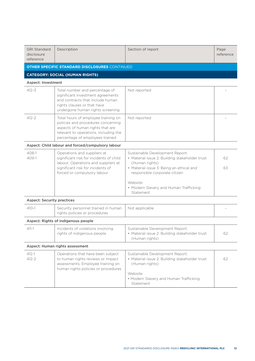| <b>GRI Standard</b><br>disclosure<br>reference | Description                                                                                                                                                                               | Section of report                                                                                                                                                                | Page<br>reference |
|------------------------------------------------|-------------------------------------------------------------------------------------------------------------------------------------------------------------------------------------------|----------------------------------------------------------------------------------------------------------------------------------------------------------------------------------|-------------------|
|                                                | <b>OTHER SPECIFIC STANDARD DISCLOSURES CONTINUED</b>                                                                                                                                      |                                                                                                                                                                                  |                   |
|                                                | <b>CATEGORY: SOCIAL (HUMAN RIGHTS)</b>                                                                                                                                                    |                                                                                                                                                                                  |                   |
| <b>Aspect: Investment</b>                      |                                                                                                                                                                                           |                                                                                                                                                                                  |                   |
| $412 - 3$                                      | Total number and percentage of<br>significant investment agreements<br>and contracts that include human<br>rights clauses or that have<br>undergone human rights screening                | Not reported                                                                                                                                                                     |                   |
| $412 - 2$                                      | Total hours of employee training on<br>policies and procedures concerning<br>aspects of human rights that are<br>relevant to operations, including the<br>percentage of employees trained | Not reported                                                                                                                                                                     |                   |
|                                                | Aspect: Child labour and forced/compulsory labour                                                                                                                                         |                                                                                                                                                                                  |                   |
| $408-1$<br>409-1                               | Operations and suppliers at<br>significant risk for incidents of child<br>labour; Operations and suppliers at<br>significant risk for incidents of<br>forced or compulsory labour         | Sustainable Development Report:<br>• Material issue 2: Building stakeholder trust<br>(Human rights)<br>• Material issue 3: Being an ethical and<br>responsible corporate citizen | 62<br>63          |
|                                                |                                                                                                                                                                                           | Website:<br>• Modern Slavery and Human Trafficking<br>Statement                                                                                                                  |                   |
| <b>Aspect: Security practices</b>              |                                                                                                                                                                                           |                                                                                                                                                                                  |                   |
| $410 - 1$                                      | Security personnel trained in human<br>rights policies or procedures                                                                                                                      | Not applicable                                                                                                                                                                   |                   |
|                                                | Aspect: Rights of indigenous people                                                                                                                                                       |                                                                                                                                                                                  |                   |
| $411 - 1$                                      | Incidents of violations involving<br>rights of indigenous people                                                                                                                          | Sustainable Development Report:<br>• Material issue 2: Building stakeholder trust<br>(Human rights)                                                                              | 62                |
| Aspect: Human rights assessment                |                                                                                                                                                                                           |                                                                                                                                                                                  |                   |
| $412 - 1$<br>$412 - 2$                         | Operations that have been subject<br>to human rights reviews or impact<br>assessments; Employee training on<br>human rights policies or procedures                                        | Sustainable Development Report:<br>• Material issue 2: Building stakeholder trust<br>(Human rights)<br>Website:<br>• Modern Slavery and Human Trafficking<br>Statement           | 62                |
|                                                |                                                                                                                                                                                           |                                                                                                                                                                                  |                   |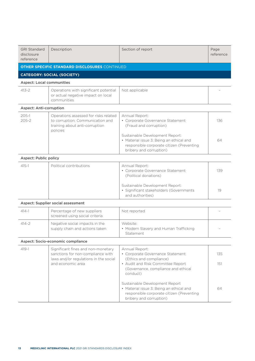| <b>GRI Standard</b><br>disclosure<br>reference | Description                                                                                                                           | Section of report                                                                                                                                                                                        | Page<br>reference |  |
|------------------------------------------------|---------------------------------------------------------------------------------------------------------------------------------------|----------------------------------------------------------------------------------------------------------------------------------------------------------------------------------------------------------|-------------------|--|
|                                                | <b>OTHER SPECIFIC STANDARD DISCLOSURES CONTINUED</b>                                                                                  |                                                                                                                                                                                                          |                   |  |
|                                                | <b>CATEGORY: SOCIAL (SOCIETY)</b>                                                                                                     |                                                                                                                                                                                                          |                   |  |
| <b>Aspect: Local communities</b>               |                                                                                                                                       |                                                                                                                                                                                                          |                   |  |
| $413 - 2$                                      | Operations with significant potential<br>or actual negative impact on local<br>communities                                            | Not applicable                                                                                                                                                                                           |                   |  |
| <b>Aspect: Anti-corruption</b>                 |                                                                                                                                       |                                                                                                                                                                                                          |                   |  |
| $205-1$<br>$205 - 2$                           | Operations assessed for risks related<br>to corruption; Communication and<br>training about anti-corruption<br>policies               | Annual Report:<br>• Corporate Governance Statement<br>(Fraud and corruption)<br>Sustainable Development Report:<br>• Material issue 3: Being an ethical and<br>responsible corporate citizen (Preventing | 136<br>64         |  |
|                                                |                                                                                                                                       | bribery and corruption)                                                                                                                                                                                  |                   |  |
| <b>Aspect: Public policy</b>                   |                                                                                                                                       |                                                                                                                                                                                                          |                   |  |
| $415 - 1$                                      | Political contributions                                                                                                               | Annual Report:<br>• Corporate Governance Statement<br>(Political donations)                                                                                                                              | 139               |  |
|                                                |                                                                                                                                       | Sustainable Development Report:<br>· Significant stakeholders (Governments<br>and authorities)                                                                                                           | 19                |  |
| Aspect: Supplier social assessment             |                                                                                                                                       |                                                                                                                                                                                                          |                   |  |
| $414 - 1$                                      | Percentage of new suppliers<br>screened using social criteria                                                                         | Not reported                                                                                                                                                                                             |                   |  |
| $414 - 2$                                      | Negative social impacts in the<br>supply chain and actions taken                                                                      | Website:<br>• Modern Slavery and Human Trafficking<br>Statement                                                                                                                                          |                   |  |
| Aspect: Socio-economic compliance              |                                                                                                                                       |                                                                                                                                                                                                          |                   |  |
| $419 - 1$                                      | Significant fines and non-monetary<br>sanctions for non-compliance with<br>laws and/or regulations in the social<br>and economic area | Annual Report:<br>• Corporate Governance Statement<br>(Ethics and compliance)<br>• Audit and Risk Committee Report<br>(Governance, compliance and ethical<br>conduct)                                    | 135<br>151        |  |
|                                                |                                                                                                                                       | Sustainable Development Report<br>• Material issue 3: Being an ethical and<br>responsible corporate citizen (Preventing<br>bribery and corruption)                                                       | 64                |  |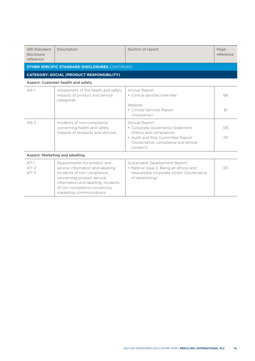| <b>GRI Standard</b><br>disclosure<br>reference       | Description                                                                                                                                                                                                                         | Section of report                                                                                                                                                     | Page<br>reference |  |  |
|------------------------------------------------------|-------------------------------------------------------------------------------------------------------------------------------------------------------------------------------------------------------------------------------------|-----------------------------------------------------------------------------------------------------------------------------------------------------------------------|-------------------|--|--|
| <b>OTHER SPECIFIC STANDARD DISCLOSURES CONTINUED</b> |                                                                                                                                                                                                                                     |                                                                                                                                                                       |                   |  |  |
| <b>CATEGORY: SOCIAL (PRODUCT RESPONSIBILITY)</b>     |                                                                                                                                                                                                                                     |                                                                                                                                                                       |                   |  |  |
| Aspect: Customer health and safety                   |                                                                                                                                                                                                                                     |                                                                                                                                                                       |                   |  |  |
| $416 - 1$                                            | Assessment of the health and safety<br>impacts of product and service<br>categories                                                                                                                                                 | Annual Report:<br>• Clinical services overview<br>Website:<br>• Clinical Services Report<br>(Assurance)                                                               | 68<br>61          |  |  |
| $416 - 2$                                            | Incidents of non-compliance<br>concerning health and safety<br>impacts of products and services                                                                                                                                     | Annual Report:<br>• Corporate Governance Statement<br>(Ethics and compliance)<br>• Audit and Risk Committee Report<br>(Governance, compliance and ethical<br>conduct) | 135<br>151        |  |  |
| Aspect: Marketing and labelling                      |                                                                                                                                                                                                                                     |                                                                                                                                                                       |                   |  |  |
| $417 - 1$<br>$417 - 2$<br>$417 - 3$                  | Requirements for product and<br>service information and labelling;<br>Incidents of non-compliance<br>concerning product service<br>information and labelling; Incidents<br>of non-compliance concerning<br>marketing communications | Sustainable Development Report:<br>• Material issue 3: Being an ethical and<br>responsible corporate citizen (Governance<br>of advertising)                           | 65                |  |  |